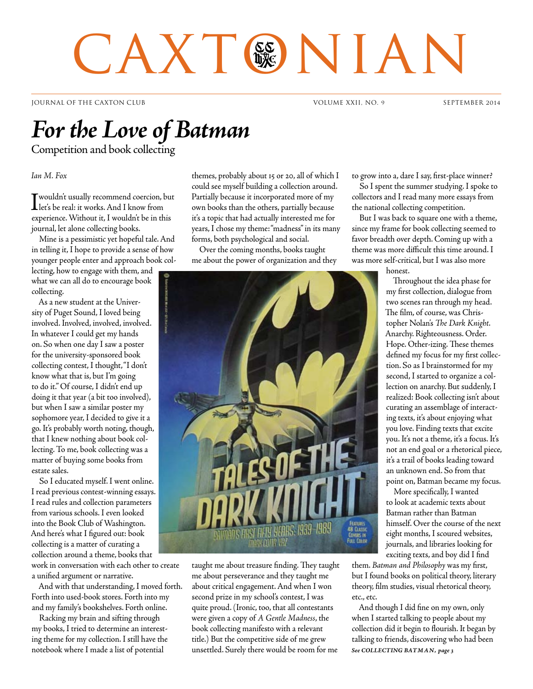# CAXT®NIAI

JOURNAL OF THE CAXTON CLUB VOLUME XXII, NO. 9 SEPTEMBER 2014

## *For the Love of Batman*

Competition and book collecting

*Ian M. Fox*

I wouldn't usually recommend coercion, but let's be real: it works. And I know from experience. Without it, I wouldn't be in this journal, let alone collecting books.

Mine is a pessimistic yet hopeful tale. And in telling it, I hope to provide a sense of how younger people enter and approach book col-

lecting, how to engage with them, and what we can all do to encourage book collecting.

As a new student at the University of Puget Sound, I loved being involved. Involved, involved, involved. In whatever I could get my hands on. So when one day I saw a poster for the university-sponsored book collecting contest, I thought, "I don't know what that is, but I'm going to do it." Of course, I didn't end up doing it that year (a bit too involved), but when I saw a similar poster my sophomore year, I decided to give it a go. It's probably worth noting, though, that I knew nothing about book collecting. To me, book collecting was a matter of buying some books from estate sales.

So I educated myself. I went online. I read previous contest-winning essays. I read rules and collection parameters from various schools. I even looked into the Book Club of Washington. And here's what I figured out: book collecting is a matter of curating a collection around a theme, books that work in conversation with each other to create

a unified argument or narrative. And with that understanding, I moved forth. Forth into used-book stores. Forth into my and my family's bookshelves. Forth online.

Racking my brain and sifting through my books, I tried to determine an interesting theme for my collection. I still have the notebook where I made a list of potential

themes, probably about 15 or 20, all of which I could see myself building a collection around. Partially because it incorporated more of my own books than the others, partially because it's a topic that had actually interested me for years, I chose my theme: "madness" in its many forms, both psychological and social.

Over the coming months, books taught me about the power of organization and they



taught me about treasure finding. They taught me about perseverance and they taught me about critical engagement. And when I won second prize in my school's contest, I was quite proud. (Ironic, too, that all contestants were given a copy of *A Gentle Madness*, the book collecting manifesto with a relevant title.) But the competitive side of me grew unsettled. Surely there would be room for me

to grow into a, dare I say, first-place winner?

So I spent the summer studying. I spoke to collectors and I read many more essays from the national collecting competition.

But I was back to square one with a theme, since my frame for book collecting seemed to favor breadth over depth. Coming up with a theme was more difficult this time around. I was more self-critical, but I was also more honest.

Throughout the idea phase for my first collection, dialogue from two scenes ran through my head. The film, of course, was Christopher Nolan's *The Dark Knight*. Anarchy. Righteousness. Order. Hope. Other-izing. These themes defined my focus for my first collection. So as I brainstormed for my second, I started to organize a collection on anarchy. But suddenly, I realized: Book collecting isn't about curating an assemblage of interacting texts, it's about enjoying what you love. Finding texts that excite you. It's not a theme, it's a focus. It's not an end goal or a rhetorical piece,

it's a trail of books leading toward an unknown end. So from that point on, Batman became my focus.

More specifically, I wanted to look at academic texts about Batman rather than Batman himself. Over the course of the next eight months, I scoured websites, journals, and libraries looking for exciting texts, and boy did I find

them. *Batman and Philosophy* was my first, but I found books on political theory, literary theory, film studies, visual rhetorical theory, etc., etc.

And though I did fine on my own, only when I started talking to people about my collection did it begin to flourish. It began by talking to friends, discovering who had been *See COLLECTING BATMAN, page 3*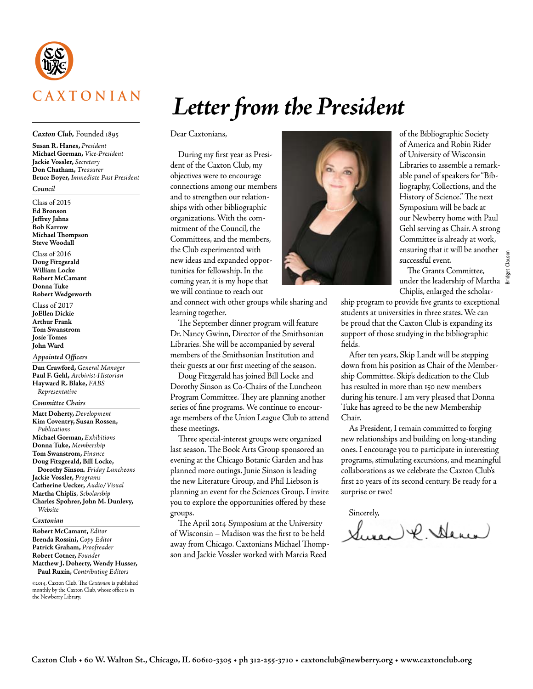

### *Caxton Club,* Founded 1895

**Susan R. Hanes,** *President* **Michael Gorman,** *Vice-President* **Jackie Vossler,** *Secretary* **Don Chatham,** *Treasurer* **Bruce Boyer,** *Immediate Past President*

### *Council*

Class of 2015 **Ed Bronson Jeffrey Jahns Bob Karrow Michael Thompson Steve Woodall**

Class of 2016 **Doug Fitzgerald William Locke Robert McCamant Donna Tuke Robert Wedgeworth**

Class of 2017 **JoEllen Dickie Arthur Frank Tom Swanstrom Josie Tomes John Ward**

### *Appointed Officers*

**Dan Crawford,** *General Manager* **Paul F. Gehl,** *Archivist-Historian* **Hayward R. Blake,** *FABS Representative*

*Committee Chairs*

**Matt Doherty,** *Development*  **Kim Coventry, Susan Rossen,**  *Publications* **Michael Gorman,** *Exhibitions*  **Donna Tuke,** *Membership* **Tom Swanstrom,** *Finance* **Doug Fitzgerald, Bill Locke, Dorothy Sinson***, Friday Luncheons* **Jackie Vossler,** *Programs* **Catherine Uecker,** *Audio/Visual* **Martha Chiplis***, Scholarship* **Charles Spohrer, John M. Dunlevy,**  *Website*

#### *Caxtonian*

**Robert McCamant,** *Editor* **Brenda Rossini,** *Copy Editor* **Patrick Graham,** *Proofreader* **Robert Cotner,** *Founder* **Matthew J. Doherty, Wendy Husser, Paul Ruxin,** *Contributing Editors*

©2014, Caxton Club. The *Caxtonian* is published monthly by the Caxton Club, whose office is in the Newberry Library.

## *Letter from the President*

### Dear Caxtonians,

During my first year as President of the Caxton Club, my objectives were to encourage connections among our members and to strengthen our relationships with other bibliographic organizations. With the commitment of the Council, the Committees, and the members, the Club experimented with new ideas and expanded opportunities for fellowship. In the coming year, it is my hope that we will continue to reach out

and connect with other groups while sharing and learning together.

The September dinner program will feature Dr. Nancy Gwinn, Director of the Smithsonian Libraries. She will be accompanied by several members of the Smithsonian Institution and their guests at our first meeting of the season.

Doug Fitzgerald has joined Bill Locke and Dorothy Sinson as Co-Chairs of the Luncheon Program Committee. They are planning another series of fine programs. We continue to encourage members of the Union League Club to attend these meetings.

Three special-interest groups were organized last season. The Book Arts Group sponsored an evening at the Chicago Botanic Garden and has planned more outings. Junie Sinson is leading the new Literature Group, and Phil Liebson is planning an event for the Sciences Group. I invite you to explore the opportunities offered by these groups.

The April 2014 Symposium at the University of Wisconsin – Madison was the first to be held away from Chicago. Caxtonians Michael Thompson and Jackie Vossler worked with Marcia Reed



of the Bibliographic Society of America and Robin Rider of University of Wisconsin Libraries to assemble a remarkable panel of speakers for "Bibliography, Collections, and the History of Science." The next Symposium will be back at our Newberry home with Paul Gehl serving as Chair. A strong Committee is already at work, ensuring that it will be another successful event.

The Grants Committee, under the leadership of Martha Chiplis, enlarged the scholar-

Clauson Bridget Clauson

ship program to provide five grants to exceptional students at universities in three states. We can be proud that the Caxton Club is expanding its support of those studying in the bibliographic fields.

After ten years, Skip Landt will be stepping down from his position as Chair of the Membership Committee. Skip's dedication to the Club has resulted in more than 150 new members during his tenure. I am very pleased that Donna Tuke has agreed to be the new Membership Chair.

As President, I remain committed to forging new relationships and building on long-standing ones. I encourage you to participate in interesting programs, stimulating excursions, and meaningful collaborations as we celebrate the Caxton Club's first 20 years of its second century. Be ready for a surprise or two!

Sincerely,

Susa P. Stener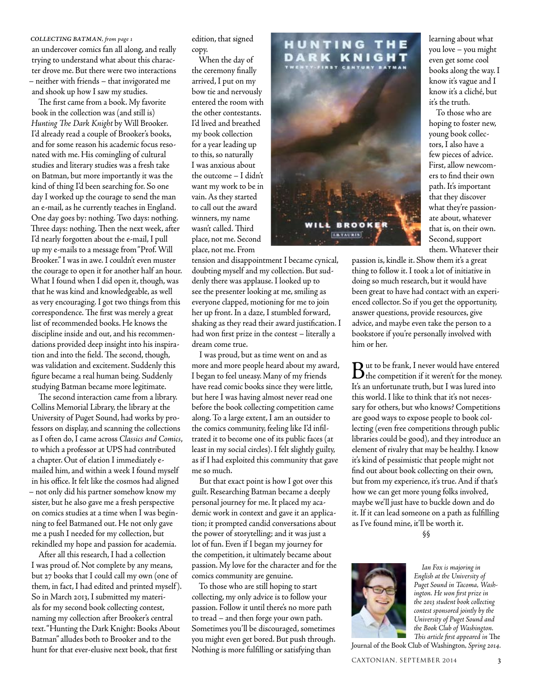### *COLLECTING BATMAN, from page 1*

an undercover comics fan all along, and really trying to understand what about this character drove me. But there were two interactions – neither with friends – that invigorated me and shook up how I saw my studies.

The first came from a book. My favorite book in the collection was (and still is) *Hunting The Dark Knight* by Will Brooker. I'd already read a couple of Brooker's books, and for some reason his academic focus resonated with me. His comingling of cultural studies and literary studies was a fresh take on Batman, but more importantly it was the kind of thing I'd been searching for. So one day I worked up the courage to send the man an e-mail, as he currently teaches in England. One day goes by: nothing. Two days: nothing. Three days: nothing. Then the next week, after I'd nearly forgotten about the e-mail, I pull up my e-mails to a message from "Prof. Will Brooker." I was in awe. I couldn't even muster the courage to open it for another half an hour. What I found when I did open it, though, was that he was kind and knowledgeable, as well as very encouraging. I got two things from this correspondence. The first was merely a great list of recommended books. He knows the discipline inside and out, and his recommendations provided deep insight into his inspiration and into the field. The second, though, was validation and excitement. Suddenly this figure became a real human being. Suddenly studying Batman became more legitimate.

The second interaction came from a library. Collins Memorial Library, the library at the University of Puget Sound, had works by professors on display, and scanning the collections as I often do, I came across *Classics and Comics*, to which a professor at UPS had contributed a chapter. Out of elation I immediately emailed him, and within a week I found myself in his office. It felt like the cosmos had aligned – not only did his partner somehow know my sister, but he also gave me a fresh perspective on comics studies at a time when I was beginning to feel Batmaned out. He not only gave me a push I needed for my collection, but rekindled my hope and passion for academia.

After all this research, I had a collection I was proud of. Not complete by any means, but 27 books that I could call my own (one of them, in fact, I had edited and printed myself ). So in March 2013, I submitted my materials for my second book collecting contest, naming my collection after Brooker's central text. "Hunting the Dark Knight: Books About Batman" alludes both to Brooker and to the hunt for that ever-elusive next book, that first

edition, that signed copy.

When the day of the ceremony finally arrived, I put on my bow tie and nervously entered the room with the other contestants. I'd lived and breathed my book collection for a year leading up to this, so naturally I was anxious about the outcome – I didn't want my work to be in vain. As they started to call out the award winners, my name wasn't called. Third place, not me. Second place, not me. From

tension and disappointment I became cynical, doubting myself and my collection. But suddenly there was applause. I looked up to see the presenter looking at me, smiling as everyone clapped, motioning for me to join her up front. In a daze, I stumbled forward, shaking as they read their award justification. I had won first prize in the contest – literally a dream come true.

I was proud, but as time went on and as more and more people heard about my award, I began to feel uneasy. Many of my friends have read comic books since they were little, but here I was having almost never read one before the book collecting competition came along. To a large extent, I am an outsider to the comics community, feeling like I'd infiltrated it to become one of its public faces (at least in my social circles). I felt slightly guilty, as if I had exploited this community that gave me so much.

But that exact point is how I got over this guilt. Researching Batman became a deeply personal journey for me. It placed my academic work in context and gave it an application; it prompted candid conversations about the power of storytelling; and it was just a lot of fun. Even if I began my journey for the competition, it ultimately became about passion. My love for the character and for the comics community are genuine.

To those who are still hoping to start collecting, my only advice is to follow your passion. Follow it until there's no more path to tread – and then forge your own path. Sometimes you'll be discouraged, sometimes you might even get bored. But push through. Nothing is more fulfilling or satisfying than



learning about what you love – you might even get some cool books along the way. I know it's vague and I know it's a cliché, but it's the truth.

To those who are hoping to foster new, young book collectors, I also have a few pieces of advice. First, allow newcomers to find their own path. It's important that they discover what they're passionate about, whatever that is, on their own. Second, support them. Whatever their

passion is, kindle it. Show them it's a great thing to follow it. I took a lot of initiative in doing so much research, but it would have been great to have had contact with an experienced collector. So if you get the opportunity, answer questions, provide resources, give advice, and maybe even take the person to a bookstore if you're personally involved with him or her.

 $\mathbf{B}$ ut to be frank, I never would have entered the competition if it weren't for the money. It's an unfortunate truth, but I was lured into this world. I like to think that it's not necessary for others, but who knows? Competitions are good ways to expose people to book collecting (even free competitions through public libraries could be good), and they introduce an element of rivalry that may be healthy. I know it's kind of pessimistic that people might not find out about book collecting on their own, but from my experience, it's true. And if that's how we can get more young folks involved, maybe we'll just have to buckle down and do it. If it can lead someone on a path as fulfilling as I've found mine, it'll be worth it.

§§



*Ian Fox is majoring in English at the University of Puget Sound in Tacoma, Washington. He won first prize in the 2013 student book collecting contest sponsored jointly by the University of Puget Sound and the Book Club of Washington. This article first appeared in* The

Journal of the Book Club of Washington*, Spring 2014.*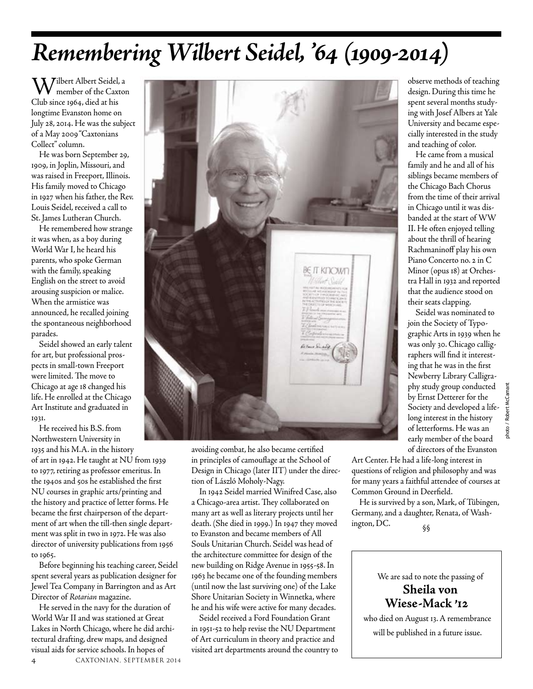## *Remembering Wilbert Seidel, '64 (1909-2014)*

 $\mathrm{M}$ / $\mathrm{l}$ lbert Albert Seidel, a member of the Caxton Club since 1964, died at his longtime Evanston home on July 28, 2014. He was the subject of a May 2009 "Caxtonians Collect" column.

He was born September 29, 1909, in Joplin, Missouri, and was raised in Freeport, Illinois. His family moved to Chicago in 1927 when his father, the Rev. Louis Seidel, received a call to St. James Lutheran Church.

He remembered how strange it was when, as a boy during World War I, he heard his parents, who spoke German with the family, speaking English on the street to avoid arousing suspicion or malice. When the armistice was announced, he recalled joining the spontaneous neighborhood parades.

Seidel showed an early talent for art, but professional prospects in small-town Freeport were limited. The move to Chicago at age 18 changed his life. He enrolled at the Chicago Art Institute and graduated in 1931.

He received his B.S. from Northwestern University in 1935 and his M.A. in the history of art in 1942. He taught at NU from 1939 to 1977, retiring as professor emeritus. In the 1940s and 50s he established the first NU courses in graphic arts/printing and the history and practice of letter forms. He became the first chairperson of the department of art when the till-then single department was split in two in 1972. He was also director of university publications from 1956 to 1965.

Before beginning his teaching career, Seidel spent several years as publication designer for Jewel Tea Company in Barrington and as Art Director of *Rotarian* magazine.

He served in the navy for the duration of World War II and was stationed at Great Lakes in North Chicago, where he did architectural drafting, drew maps, and designed visual aids for service schools. In hopes of CAXTONIAN, SEPTEMBER 2014  $\overline{4}$ 



avoiding combat, he also became certified in principles of camouflage at the School of Design in Chicago (later IIT) under the direction of László Moholy-Nagy.

In 1942 Seidel married Winifred Case, also a Chicago-area artist. They collaborated on many art as well as literary projects until her death. (She died in 1999.) In 1947 they moved to Evanston and became members of All Souls Unitarian Church. Seidel was head of the architecture committee for design of the new building on Ridge Avenue in 1955-58. In 1963 he became one of the founding members (until now the last surviving one) of the Lake Shore Unitarian Society in Winnetka, where he and his wife were active for many decades.

Seidel received a Ford Foundation Grant in 1951-52 to help revise the NU Department of Art curriculum in theory and practice and visited art departments around the country to observe methods of teaching design. During this time he spent several months studying with Josef Albers at Yale University and became especially interested in the study and teaching of color.

He came from a musical family and he and all of his siblings became members of the Chicago Bach Chorus from the time of their arrival in Chicago until it was disbanded at the start of WW II. He often enjoyed telling about the thrill of hearing Rachmaninoff play his own Piano Concerto no. 2 in C Minor (opus 18) at Orchestra Hall in 1932 and reported that the audience stood on their seats clapping.

Seidel was nominated to join the Society of Typographic Arts in 1939 when he was only 30. Chicago calligraphers will find it interesting that he was in the first Newberry Library Calligraphy study group conducted by Ernst Detterer for the Society and developed a lifelong interest in the history of letterforms. He was an early member of the board of directors of the Evanston

Art Center. He had a life-long interest in questions of religion and philosophy and was for many years a faithful attendee of courses at Common Ground in Deerfield.

He is survived by a son, Mark, of Tübingen, Germany, and a daughter, Renata, of Washington, DC. §§

> We are sad to note the passing of **Sheila von Wiese-Mack '12**

 who died on August 13. A remembrance will be published in a future issue.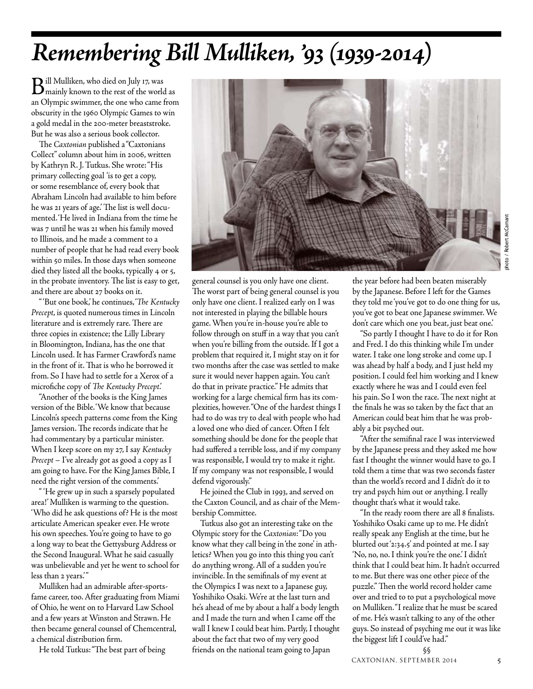## *Remembering Bill Mulliken, '93 (1939-2014)*

Bill Mulliken, who died on July 17, was mainly known to the rest of the world as an Olympic swimmer, the one who came from obscurity in the 1960 Olympic Games to win a gold medal in the 200-meter breaststroke. But he was also a serious book collector.

The *Caxtonian* published a "Caxtonians Collect" column about him in 2006, written by Kathryn R. J. Tutkus. She wrote: "His primary collecting goal 'is to get a copy, or some resemblance of, every book that Abraham Lincoln had available to him before he was 21 years of age.' The list is well documented. 'He lived in Indiana from the time he was 7 until he was 21 when his family moved to Illinois, and he made a comment to a number of people that he had read every book within 50 miles. In those days when someone died they listed all the books, typically 4 or 5, in the probate inventory. The list is easy to get, and there are about 27 books on it.

" 'But one book,' he continues, '*The Kentucky Precept*, is quoted numerous times in Lincoln literature and is extremely rare. There are three copies in existence; the Lilly Library in Bloomington, Indiana, has the one that Lincoln used. It has Farmer Crawford's name in the front of it. That is who he borrowed it from. So I have had to settle for a Xerox of a microfiche copy of *The Kentucky Precept*.'

"Another of the books is the King James version of the Bible. 'We know that because Lincoln's speech patterns come from the King James version. The records indicate that he had commentary by a particular minister. When I keep score on my 27, I say *Kentucky Precept* – I've already got as good a copy as I am going to have. For the King James Bible, I need the right version of the comments.'

'' 'He grew up in such a sparsely populated area!' Mulliken is warming to the question. 'Who did he ask questions of? He is the most articulate American speaker ever. He wrote his own speeches. You're going to have to go a long way to beat the Gettysburg Address or the Second Inaugural. What he said casually was unbelievable and yet he went to school for less than 2 years."

Mulliken had an admirable after-sportsfame career, too. After graduating from Miami of Ohio, he went on to Harvard Law School and a few years at Winston and Strawn. He then became general counsel of Chemcentral, a chemical distribution firm.

He told Tutkus: "The best part of being



photo / Robert McCamanthoto / Robert McCamar

general counsel is you only have one client. The worst part of being general counsel is you only have one client. I realized early on I was not interested in playing the billable hours game. When you're in-house you're able to follow through on stuff in a way that you can't when you're billing from the outside. If I got a problem that required it, I might stay on it for two months after the case was settled to make sure it would never happen again. You can't do that in private practice." He admits that working for a large chemical firm has its complexities, however. "One of the hardest things I had to do was try to deal with people who had a loved one who died of cancer. Often I felt something should be done for the people that had suffered a terrible loss, and if my company was responsible, I would try to make it right. If my company was not responsible, I would defend vigorously."

He joined the Club in 1993, and served on the Caxton Council, and as chair of the Membership Committee.

Tutkus also got an interesting take on the Olympic story for the *Caxtonian*: "Do you know what they call being in 'the zone' in athletics? When you go into this thing you can't do anything wrong. All of a sudden you're invincible. In the semifinals of my event at the Olympics I was next to a Japanese guy, Yoshihiko Osaki. We're at the last turn and he's ahead of me by about a half a body length and I made the turn and when I came off the wall I knew I could beat him. Partly, I thought about the fact that two of my very good friends on the national team going to Japan

the year before had been beaten miserably by the Japanese. Before I left for the Games they told me 'you've got to do one thing for us, you've got to beat one Japanese swimmer. We don't care which one you beat, just beat one.'

"So partly I thought I have to do it for Ron and Fred. I do this thinking while I'm under water. I take one long stroke and come up. I was ahead by half a body, and I just held my position. I could feel him working and I knew exactly where he was and I could even feel his pain. So I won the race. The next night at the finals he was so taken by the fact that an American could beat him that he was probably a bit psyched out.

"After the semifinal race I was interviewed by the Japanese press and they asked me how fast I thought the winner would have to go. I told them a time that was two seconds faster than the world's record and I didn't do it to try and psych him out or anything. I really thought that's what it would take.

"In the ready room there are all 8 finalists. Yoshihiko Osaki came up to me. He didn't really speak any English at the time, but he blurted out '2:34.5' and pointed at me. I say 'No, no, no. I think you're the one.' I didn't think that I could beat him. It hadn't occurred to me. But there was one other piece of the puzzle." Then the world record holder came over and tried to to put a psychological move on Mulliken. "I realize that he must be scared of me. He's wasn't talking to any of the other guys. So instead of psyching me out it was like the biggest lift I could've had."

§§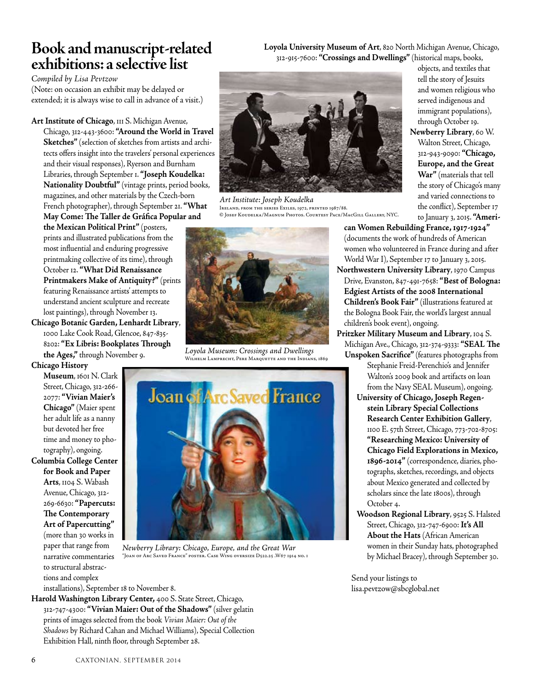## **Book and manuscript-related exhibitions: a selective list**

*Compiled by Lisa Pevtzow* (Note: on occasion an exhibit may be delayed or extended; it is always wise to call in advance of a visit.)

**Art Institute of Chicago**, 111 S. Michigan Avenue, Chicago, 312-443-3600: **"Around the World in Travel Sketches"** (selection of sketches from artists and architects offers insight into the travelers' personal experiences and their visual responses), Ryerson and Burnham Libraries, through September 1. **"Joseph Koudelka: Nationality Doubtful"** (vintage prints, period books, magazines, and other materials by the Czech-born French photographer), through September 21. **"What May Come: The Taller de Gráfica Popular and** 

**the Mexican Political Print"** (posters, prints and illustrated publications from the most influential and enduring progressive printmaking collective of its time), through October 12. **"What Did Renaissance Printmakers Make of Antiquity?"** (prints

featuring Renaissance artists' attempts to understand ancient sculpture and recreate lost paintings), through November 13.

**Chicago Botanic Garden, Lenhardt Library**, 1000 Lake Cook Road, Glencoe, 847-835- 8202: **"Ex Libris: Bookplates Through the Ages,"** through November 9.

**Chicago History** 

**Museum**, 1601 N. Clark Street, Chicago, 312-266-2077: **"Vivian Maier's Chicago"** (Maier spent her adult life as a nanny but devoted her free time and money to photography), ongoing. **Columbia College Center for Book and Paper Arts**, 1104 S. Wabash Avenue, Chicago, 312- 269-6630: **"Papercuts: The Contemporary Art of Papercutting"** (more than 30 works in paper that range from narrative commentaries to structural abstrac-

tions and complex

6



*Newberry Library: Chicago, Europe, and the Great War* "Joan of Arc Saved France" poster. Case Wing oversize D522.25 .W67 1914 no. 1

installations), September 18 to November 8.

**Harold Washington Library Center,** 400 S. State Street, Chicago, 312-747-4300: **"Vivian Maier: Out of the Shadows"** (silver gelatin prints of images selected from the book *Vivian Maier: Out of the Shadows* by Richard Cahan and Michael Williams), Special Collection Exhibition Hall, ninth floor, through September 28.

**Loyola University Museum of Art**, 820 North Michigan Avenue, Chicago, 312-915-7600: **"Crossings and Dwellings"** (historical maps, books,

> objects, and textiles that tell the story of Jesuits and women religious who served indigenous and immigrant populations), through October 19. **Newberry Library**, 60 W. Walton Street, Chicago, 312-943-9090: **"Chicago, Europe, and the Great War"** (materials that tell the story of Chicago's many and varied connections to the conflict), September 17 to January 3, 2015. **"Ameri-**



*Art Institute: Joseph Koudelka* Ireland, from the series Exiles, 1972, printed 1987/88. © Josef Koudelka/Magnum Photos. Courtesy Pace/MacGill Gallery, NYC.



from the Navy SEAL Museum), ongoing. **University of Chicago, Joseph Regenstein Library Special Collections Research Center Exhibition Gallery**, 1100 E. 57th Street, Chicago, 773-702-8705: **"Researching Mexico: University of Chicago Field Explorations in Mexico, 1896-2014"** (correspondence, diaries, photographs, sketches, recordings, and objects

about Mexico generated and collected by scholars since the late 1800s), through October 4. **Woodson Regional Library**, 9525 S. Halsted

Michigan Ave., Chicago, 312-374-9333: **"SEAL The Unspoken Sacrifice"** (features photographs from Stephanie Freid-Perenchio's and Jennifer Walton's 2009 book and artifacts on loan

> Street, Chicago, 312-747-6900: **It's All About the Hats** (African American women in their Sunday hats, photographed by Michael Bracey), through September 30.

Send your listings to lisa.pevtzow@sbcglobal.net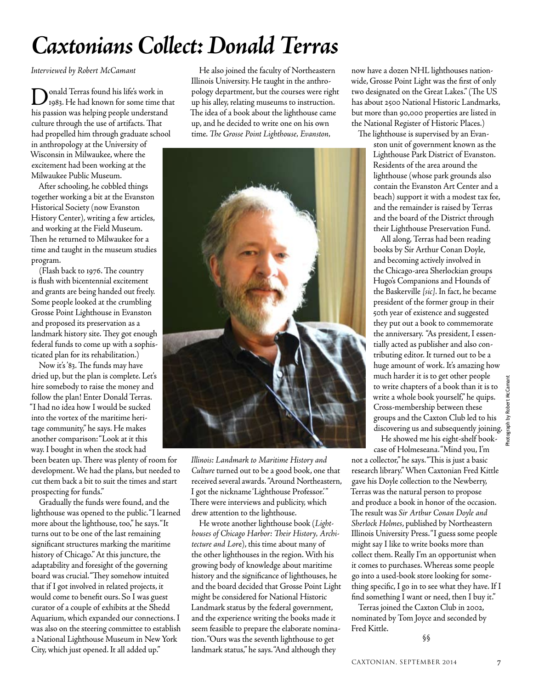## *Caxtonians Collect: Donald Terras*

*Interviewed by Robert McCamant*

Donald Terras found his life's work in 1983. He had known for some time that his passion was helping people understand culture through the use of artifacts. That had propelled him through graduate school in anthropology at the University of Wisconsin in Milwaukee, where the excitement had been working at the Milwaukee Public Museum.

After schooling, he cobbled things together working a bit at the Evanston Historical Society (now Evanston History Center), writing a few articles, and working at the Field Museum. Then he returned to Milwaukee for a time and taught in the museum studies program.

(Flash back to 1976. The country is flush with bicentennial excitement and grants are being handed out freely. Some people looked at the crumbling Grosse Point Lighthouse in Evanston and proposed its preservation as a landmark history site. They got enough federal funds to come up with a sophisticated plan for its rehabilitation.)

Now it's '83. The funds may have dried up, but the plan is complete. Let's hire somebody to raise the money and follow the plan! Enter Donald Terras. "I had no idea how I would be sucked into the vortex of the maritime heritage community," he says. He makes another comparison: "Look at it this way. I bought in when the stock had been beaten up. There was plenty of room for development. We had the plans, but needed to cut them back a bit to suit the times and start

prospecting for funds." Gradually the funds were found, and the lighthouse was opened to the public. "I learned more about the lighthouse, too," he says. "It turns out to be one of the last remaining significant structures marking the maritime history of Chicago." At this juncture, the adaptability and foresight of the governing board was crucial. "They somehow intuited that if I got involved in related projects, it would come to benefit ours. So I was guest curator of a couple of exhibits at the Shedd Aquarium, which expanded our connections. I was also on the steering committee to establish a National Lighthouse Museum in New York City, which just opened. It all added up."

He also joined the faculty of Northeastern Illinois University. He taught in the anthropology department, but the courses were right up his alley, relating museums to instruction. The idea of a book about the lighthouse came up, and he decided to write one on his own time. *The Grosse Point Lighthouse, Evanston,* 



*Illinois: Landmark to Maritime History and Culture* turned out to be a good book, one that received several awards. "Around Northeastern, I got the nickname 'Lighthouse Professor.' " There were interviews and publicity, which drew attention to the lighthouse.

He wrote another lighthouse book (*Lighthouses of Chicago Harbor: Their History, Architecture and Lor*e), this time about many of the other lighthouses in the region. With his growing body of knowledge about maritime history and the significance of lighthouses, he and the board decided that Grosse Point Light might be considered for National Historic Landmark status by the federal government, and the experience writing the books made it seem feasible to prepare the elaborate nomination. "Ours was the seventh lighthouse to get landmark status," he says. "And although they

now have a dozen NHL lighthouses nationwide, Grosse Point Light was the first of only two designated on the Great Lakes." (The US has about 2500 National Historic Landmarks, but more than 90,000 properties are listed in the National Register of Historic Places.)

The lighthouse is supervised by an Evanston unit of government known as the Lighthouse Park District of Evanston. Residents of the area around the lighthouse (whose park grounds also contain the Evanston Art Center and a beach) support it with a modest tax fee, and the remainder is raised by Terras and the board of the District through their Lighthouse Preservation Fund.

All along, Terras had been reading books by Sir Arthur Conan Doyle, and becoming actively involved in the Chicago-area Sherlockian groups Hugo's Companions and Hounds of the Baskerville *[sic]*. In fact, he became president of the former group in their 50th year of existence and suggested they put out a book to commemorate the anniversary. "As president, I essentially acted as publisher and also contributing editor. It turned out to be a huge amount of work. It's amazing how much harder it is to get other people to write chapters of a book than it is to write a whole book yourself," he quips. Cross-membership between these groups and the Caxton Club led to his discovering us and subsequently joining.

He showed me his eight-shelf bookcase of Holmeseana. "Mind you, I'm

not a collector," he says. "This is just a basic research library." When Caxtonian Fred Kittle gave his Doyle collection to the Newberry, Terras was the natural person to propose and produce a book in honor of the occasion. The result was *Sir Arthur Conan Doyle and Sherlock Holmes*, published by Northeastern Illinois University Press. "I guess some people might say I like to write books more than collect them. Really I'm an opportunist when it comes to purchases. Whereas some people go into a used-book store looking for something specific, I go in to see what they have. If I find something I want or need, then I buy it."

Terras joined the Caxton Club in 2002, nominated by Tom Joyce and seconded by Fred Kittle.

Photograph by Robert McCamant

Robert McCamant